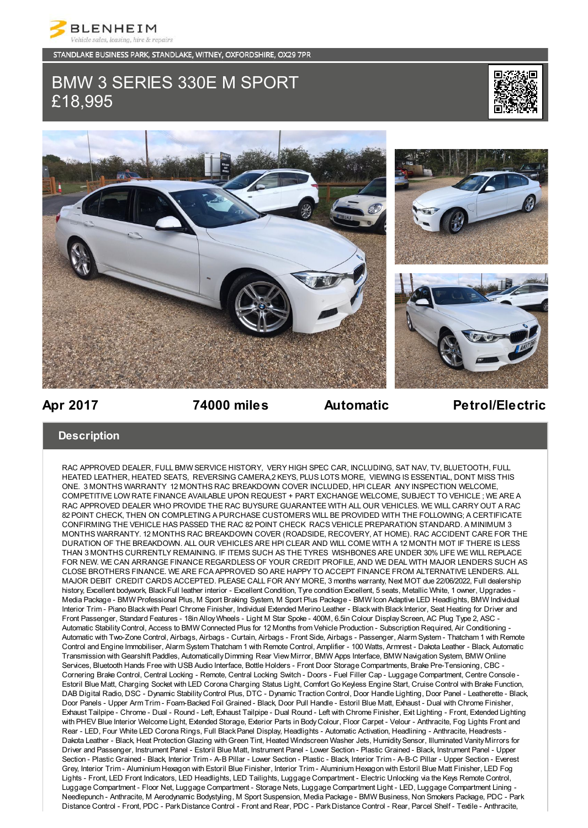

STANDLAKE BUSINESS PARK, STANDLAKE, WITNEY, OXFORDSHIRE, OX29 7PR

# BMW 3 SERIES 330E M SPORT £18,995





## **Apr 2017 74000 miles Automatic Petrol/Electric**

### **Description**

RAC APPROVED DEALER, FULL BMW SERVICE HISTORY, VERY HIGH SPEC CAR, INCLUDING, SAT NAV, TV, BLUETOOTH, FULL HEATED LEATHER, HEATED SEATS, REVERSING CAMERA,2 KEYS, PLUS LOTS MORE, VIEWING IS ESSENTIAL, DONT MISS THIS ONE. 3 MONTHS WARRANTY 12 MONTHS RAC BREAKDOWN COVER INCLUDED, HPI CLEAR ANY INSPECTION WELCOME, COMPETITIVE LOW RATE FINANCE AVAILABLE UPON REQUEST + PART EXCHANGE WELCOME, SUBJECT TO VEHICLE ; WE ARE A RAC APPROVED DEALER WHO PROVIDE THE RAC BUYSURE GUARANTEE WITH ALL OUR VEHICLES. WE WILL CARRY OUT A RAC 82 POINT CHECK, THEN ON COMPLETING A PURCHASE CUSTOMERS WILL BE PROVIDED WITH THE FOLLOWING; A CERTIFICATE CONFIRMING THE VEHICLE HAS PASSED THE RAC 82 POINT CHECK RACS VEHICLE PREPARATION STANDARD. A MINIMUM 3 MONTHS WARRANTY. 12 MONTHS RAC BREAKDOWN COVER (ROADSIDE, RECOVERY, AT HOME). RAC ACCIDENT CARE FOR THE DURATION OF THE BREAKDOWN. ALL OUR VEHICLES ARE HPI CLEAR AND WILL COME WITH A 12 MONTH MOT IF THERE IS LESS THAN 3 MONTHS CURRENTLY REMAINING. IF ITEMS SUCH AS THE TYRES WISHBONES ARE UNDER 30% LIFE WE WILL REPLACE FOR NEW. WE CAN ARRANGE FINANCE REGARDLESS OF YOUR CREDIT PROFILE, AND WE DEAL WITH MAJOR LENDERS SUCH AS CLOSE BROTHERS FINANCE. WE ARE FCA APPROVED SO ARE HAPPY TO ACCEPT FINANCE FROM ALTERNATIVE LENDERS. ALL MAJOR DEBIT CREDIT CARDS ACCEPTED. PLEASE CALL FOR ANY MORE, 3 months warranty, Next MOT due 22/06/2022, Full dealership history, Excellent bodywork, Black Full leather interior - Excellent Condition, Tyre condition Excellent, 5 seats, Metallic White, 1 owner, Upgrades - Media Package - BMW Professional Plus, M Sport Braking System, M Sport Plus Package - BMW Icon Adaptive LED Headlights, BMW Individual Interior Trim - Piano Black with Pearl Chrome Finisher, Individual Extended Merino Leather - Black with Black Interior, Seat Heating for Driver and Front Passenger, Standard Features - 18in Alloy Wheels - Light M Star Spoke - 400M, 6.5in Colour Display Screen, AC Plug Type 2, ASC - Automatic Stability Control, Access to BMW Connected Plus for 12 Months from Vehicle Production - Subscription Required, Air Conditioning - Automatic with Two-Zone Control, Airbags, Airbags - Curtain, Airbags - Front Side, Airbags - Passenger, Alarm System - Thatcham 1 with Remote Control and Engine Immobiliser, Alarm System Thatcham 1 with Remote Control, Amplifier - 100 Watts, Armrest - Dakota Leather - Black, Automatic Transmission with Gearshift Paddles, Automatically Dimming Rear View Mirror, BMW Apps Interface, BMW Navigation System, BMW Online Services, Bluetooth Hands Free with USB Audio Interface, Bottle Holders - Front Door Storage Compartments, Brake Pre-Tensioning, CBC - Cornering Brake Control, Central Locking - Remote, Central Locking Switch - Doors - Fuel Filler Cap - Luggage Compartment, Centre Console - Estoril Blue Matt, Charging Socket with LED Corona Charging Status Light, Comfort Go Keyless Engine Start, Cruise Control with Brake Function, DAB Digital Radio, DSC - Dynamic Stability Control Plus, DTC - Dynamic Traction Control, Door Handle Lighting, Door Panel - Leatherette - Black, Door Panels - Upper Arm Trim - Foam-Backed Foil Grained - Black, Door Pull Handle - Estoril Blue Matt, Exhaust - Dual with Chrome Finisher, Exhaust Tailpipe - Chrome - Dual - Round - Left, Exhaust Tailpipe - Dual Round - Left with Chrome Finisher, Exit Lighting - Front, Extended Lighting with PHEV Blue Interior Welcome Light, Extended Storage, Exterior Parts in Body Colour, Floor Carpet - Velour - Anthracite, Fog Lights Front and Rear - LED, Four White LED Corona Rings, Full Black Panel Display, Headlights - Automatic Activation, Headlining - Anthracite, Headrests - Dakota Leather - Black, Heat Protection Glazing with Green Tint, Heated Windscreen Washer Jets, Humidity Sensor, Illuminated Vanity Mirrors for Driver and Passenger, Instrument Panel - Estoril Blue Matt, Instrument Panel - Lower Section - Plastic Grained - Black, Instrument Panel - Upper Section - Plastic Grained - Black, Interior Trim - A-B Pillar - Lower Section - Plastic - Black, Interior Trim - A-B-C Pillar - Upper Section - Everest Grey, Interior Trim - Aluminium Hexagon with Estoril Blue Finisher, Interior Trim - Aluminium Hexagon with Estoril Blue Matt Finisher, LED Fog Lights - Front, LED Front Indicators, LED Headlights, LED Tailights, Luggage Compartment - Electric Unlocking via the Keys Remote Control, Luggage Compartment - Floor Net, Luggage Compartment - Storage Nets, Luggage Compartment Light - LED, Luggage Compartment Lining - Needlepunch - Anthracite, M Aerodynamic Bodystyling, M Sport Suspension, Media Package - BMW Business, Non Smokers Package, PDC - Park Distance Control - Front, PDC - Park Distance Control - Front and Rear, PDC - Park Distance Control - Rear, Parcel Shelf - Textile - Anthracite,